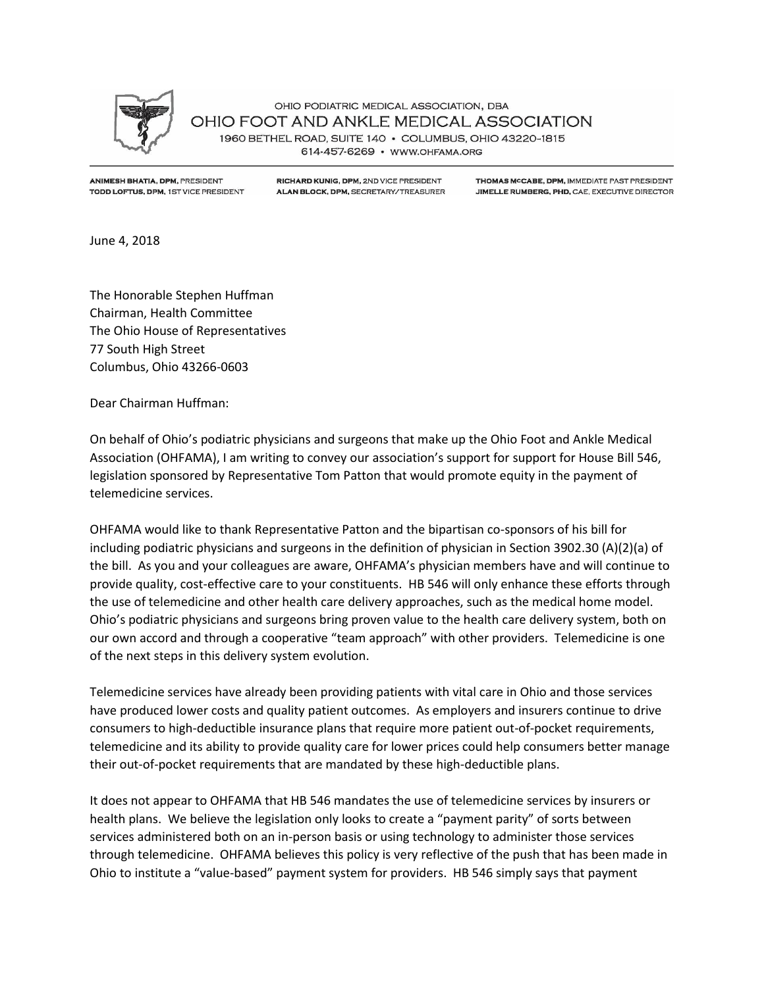

OHIO PODIATRIC MEDICAL ASSOCIATION, DBA OHIO FOOT AND ANKLE MEDICAL ASSOCIATION 1960 BETHEL ROAD, SUITE 140 · COLUMBUS, OHIO 43220-1815 614-457-6269 · WWW.OHFAMA.ORG

**ANIMESH BHATIA, DPM, PRESIDENT** TODD LOFTUS, DPM, 1ST VICE PRESIDENT

RICHARD KUNIG, DPM, 2ND VICE PRESIDENT ALAN BLOCK, DPM, SECRETARY/TREASURER

THOMAS MCCABE, DPM, IMMEDIATE PAST PRESIDENT JIMELLE RUMBERG, PHD, CAE, EXECUTIVE DIRECTOR

June 4, 2018

The Honorable Stephen Huffman Chairman, Health Committee The Ohio House of Representatives 77 South High Street Columbus, Ohio 43266-0603

Dear Chairman Huffman:

On behalf of Ohio's podiatric physicians and surgeons that make up the Ohio Foot and Ankle Medical Association (OHFAMA), I am writing to convey our association's support for support for House Bill 546, legislation sponsored by Representative Tom Patton that would promote equity in the payment of telemedicine services.

OHFAMA would like to thank Representative Patton and the bipartisan co-sponsors of his bill for including podiatric physicians and surgeons in the definition of physician in Section 3902.30 (A)(2)(a) of the bill. As you and your colleagues are aware, OHFAMA's physician members have and will continue to provide quality, cost-effective care to your constituents. HB 546 will only enhance these efforts through the use of telemedicine and other health care delivery approaches, such as the medical home model. Ohio's podiatric physicians and surgeons bring proven value to the health care delivery system, both on our own accord and through a cooperative "team approach" with other providers. Telemedicine is one of the next steps in this delivery system evolution.

Telemedicine services have already been providing patients with vital care in Ohio and those services have produced lower costs and quality patient outcomes. As employers and insurers continue to drive consumers to high-deductible insurance plans that require more patient out-of-pocket requirements, telemedicine and its ability to provide quality care for lower prices could help consumers better manage their out-of-pocket requirements that are mandated by these high-deductible plans.

It does not appear to OHFAMA that HB 546 mandates the use of telemedicine services by insurers or health plans. We believe the legislation only looks to create a "payment parity" of sorts between services administered both on an in-person basis or using technology to administer those services through telemedicine. OHFAMA believes this policy is very reflective of the push that has been made in Ohio to institute a "value-based" payment system for providers. HB 546 simply says that payment